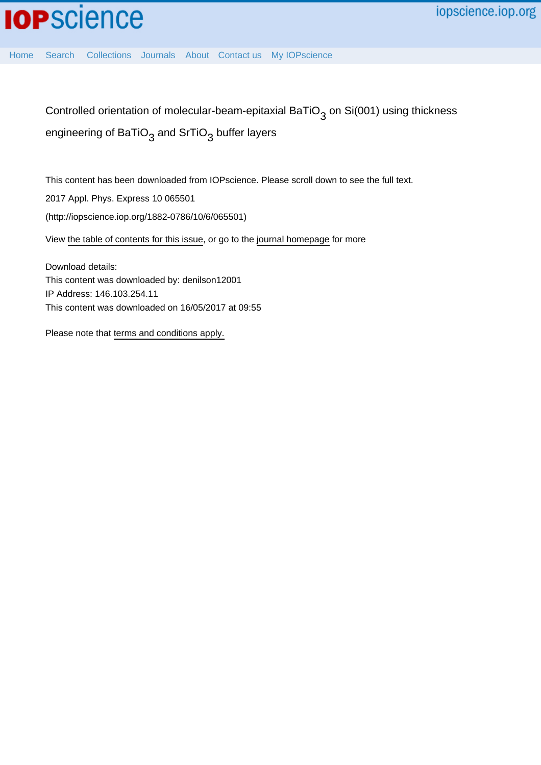## **IOP**science

iopscience.iop.org

[Home](http://iopscience.iop.org/) [Search](http://iopscience.iop.org/search) [Collections](http://iopscience.iop.org/collections) [Journals](http://iopscience.iop.org/journals) [About](http://iopscience.iop.org/page/aboutioppublishing) [Contact us](http://iopscience.iop.org/contact) [My IOPscience](http://iopscience.iop.org/myiopscience)

Controlled orientation of molecular-beam-epitaxial BaTiO $_3$  on Si(001) using thickness engineering of BaTiO $_3$  and SrTiO $_3$  buffer layers

This content has been downloaded from IOPscience. Please scroll down to see the full text.

2017 Appl. Phys. Express 10 065501

(http://iopscience.iop.org/1882-0786/10/6/065501)

View [the table of contents for this issue](http://iopscience.iop.org/1882-0786/10/6), or go to the [journal homepage](http://iopscience.iop.org/1882-0786) for more

Download details: This content was downloaded by: denilson12001 IP Address: 146.103.254.11 This content was downloaded on 16/05/2017 at 09:55

Please note that [terms and conditions apply.](http://iopscience.iop.org/page/terms)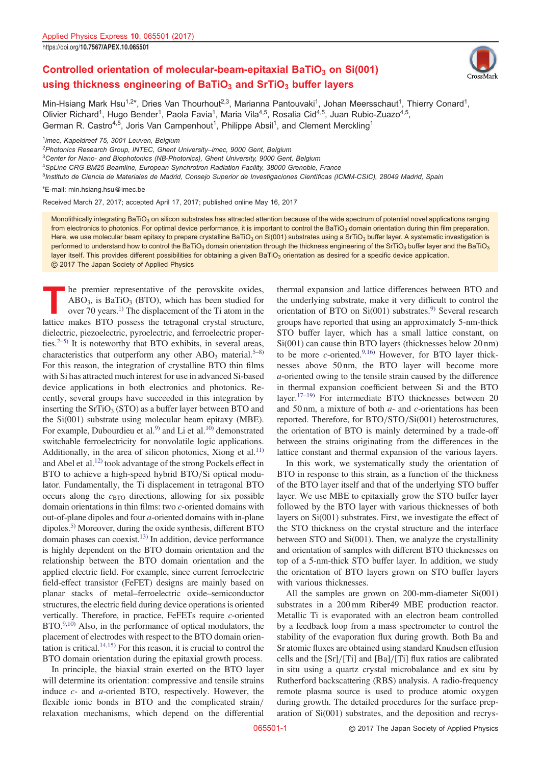## Controlled orientation of molecular-beam-epitaxial BaTiO $_3$  on Si(001) using thickness engineering of BaTiO<sub>3</sub> and SrTiO<sub>3</sub> buffer layers



Min-Hsiang Mark Hsu<sup>1,2\*</sup>, Dries Van Thourhout<sup>2,3</sup>, Marianna Pantouvaki<sup>1</sup>, Johan Meersschaut<sup>1</sup>, Thierry Conard<sup>1</sup>, Olivier Richard<sup>1</sup>, Hugo Bender<sup>1</sup>, Paola Favia<sup>1</sup>, Maria Vila<sup>4,5</sup>, Rosalia Cid<sup>4,5</sup>, Juan Rubio-Zuazo<sup>4,5</sup>, German R. Castro<sup>4,5</sup>, Joris Van Campenhout<sup>1</sup>, Philippe Absil<sup>1</sup>, and Clement Merckling<sup>1</sup>

 $1$ imec, Kapeldreef 75, 3001 Leuven, Belgium

<sup>2</sup>Photonics Research Group, INTEC, Ghent University–imec, 9000 Gent, Belgium

<sup>3</sup>Center for Nano- and Biophotonics (NB-Photonics), Ghent University, 9000 Gent, Belgium

<sup>4</sup>SpLine CRG BM25 Beamline, European Synchrotron Radiation Facility, 38000 Grenoble, France

<sup>5</sup>Instituto de Ciencia de Materiales de Madrid, Consejo Superior de Investigaciones Científicas (ICMM-CSIC), 28049 Madrid, Spain

\*E-mail: min.hsiang.hsu@imec.be

Received March 27, 2017; accepted April 17, 2017; published online May 16, 2017

Monolithically integrating BaTiO<sub>3</sub> on silicon substrates has attracted attention because of the wide spectrum of potential novel applications ranging from electronics to photonics. For optimal device performance, it is important to control the BaTiO<sub>3</sub> domain orientation during thin film preparation. Here, we use molecular beam epitaxy to prepare crystalline BaTiO<sub>3</sub> on Si(001) substrates using a SrTiO<sub>3</sub> buffer layer. A systematic investigation is performed to understand how to control the BaTiO<sub>3</sub> domain orientation through the thickness engineering of the SrTiO<sub>3</sub> buffer layer and the BaTiO<sub>3</sub> layer itself. This provides different possibilities for obtaining a given BaTiO<sub>3</sub> orientation as desired for a specific device application. © 2017 The Japan Society of Applied Physics

The premier representative of the perovskite oxides,<br>ABO<sub>3</sub>, is BaTiO<sub>3</sub> (BTO), which has been studied for<br>over 70 years.<sup>1)</sup> The displacement of the Ti atom in the<br>lattice makes BTO possess the tetraopal crystal structure  $ABO<sub>3</sub>$ , is BaTiO<sub>3</sub> (BTO), which has been studied for lattice makes BTO possess the tetragonal crystal structure, dielectric, piezoelectric, pyroelectric, and ferroelectric properties. $2-5$  $2-5$  $2-5$  It is noteworthy that BTO exhibits, in several areas, characteristics that outperform any other  $ABO_3$  material.<sup>5–[8](#page-4-0))</sup> For this reason, the integration of crystalline BTO thin films with Si has attracted much interest for use in advanced Si-based device applications in both electronics and photonics. Recently, several groups have succeeded in this integration by inserting the  $SrTiO<sub>3</sub> (STO)$  as a buffer layer between BTO and the Si(001) substrate using molecular beam epitaxy (MBE). For example, Dubourdieu et al.<sup>9)</sup> and Li et al.<sup>10)</sup> demonstrated switchable ferroelectricity for nonvolatile logic applications. Additionally, in the area of silicon photonics, Xiong et al.<sup>11)</sup> and Abel et al[.12\)](#page-4-0) took advantage of the strong Pockels effect in BTO to achieve a high-speed hybrid BTO/Si optical modulator. Fundamentally, the Ti displacement in tetragonal BTO occurs along the  $c_{\text{BTO}}$  directions, allowing for six possible domain orientations in thin films: two c-oriented domains with out-of-plane dipoles and four a-oriented domains with in-plane dipoles.<sup>[5](#page-4-0))</sup> Moreover, during the oxide synthesis, different BTO domain phases can coexist.<sup>[13\)](#page-4-0)</sup> In addition, device performance is highly dependent on the BTO domain orientation and the relationship between the BTO domain orientation and the applied electric field. For example, since current ferroelectric field-effect transistor (FeFET) designs are mainly based on planar stacks of metal–ferroelectric oxide–semiconductor structures, the electric field during device operations is oriented vertically. Therefore, in practice, FeFETs require *c*-oriented BTO[.9,10](#page-4-0)) Also, in the performance of optical modulators, the placement of electrodes with respect to the BTO domain orientation is critical. $14,15$  For this reason, it is crucial to control the BTO domain orientation during the epitaxial growth process.

In principle, the biaxial strain exerted on the BTO layer will determine its orientation: compressive and tensile strains induce c- and a-oriented BTO, respectively. However, the flexible ionic bonds in BTO and the complicated strain/ relaxation mechanisms, which depend on the differential

thermal expansion and lattice differences between BTO and the underlying substrate, make it very difficult to control the orientation of BTO on  $Si(001)$  substrates.<sup>[9](#page-4-0))</sup> Several research groups have reported that using an approximately 5-nm-thick STO buffer layer, which has a small lattice constant, on Si(001) can cause thin BTO layers (thicknesses below 20 nm) to be more *c*-oriented.<sup>[9,16\)](#page-4-0)</sup> However, for BTO layer thicknesses above 50 nm, the BTO layer will become more a-oriented owing to the tensile strain caused by the difference in thermal expansion coefficient between Si and the BTO layer.<sup>[17](#page-4-0)–[19](#page-4-0))</sup> For intermediate BTO thicknesses between 20 and 50 nm, a mixture of both  $a$ - and  $c$ -orientations has been reported. Therefore, for  $BTO/STO/Si(001)$  heterostructures, the orientation of BTO is mainly determined by a trade-off between the strains originating from the differences in the lattice constant and thermal expansion of the various layers.

In this work, we systematically study the orientation of BTO in response to this strain, as a function of the thickness of the BTO layer itself and that of the underlying STO buffer layer. We use MBE to epitaxially grow the STO buffer layer followed by the BTO layer with various thicknesses of both layers on Si(001) substrates. First, we investigate the effect of the STO thickness on the crystal structure and the interface between STO and Si(001). Then, we analyze the crystallinity and orientation of samples with different BTO thicknesses on top of a 5-nm-thick STO buffer layer. In addition, we study the orientation of BTO layers grown on STO buffer layers with various thicknesses.

All the samples are grown on 200-mm-diameter Si(001) substrates in a 200 mm Riber49 MBE production reactor. Metallic Ti is evaporated with an electron beam controlled by a feedback loop from a mass spectrometer to control the stability of the evaporation flux during growth. Both Ba and Sr atomic fluxes are obtained using standard Knudsen effusion cells and the  $[Sr]/[Ti]$  and  $[Ba]/[Ti]$  flux ratios are calibrated in situ using a quartz crystal microbalance and ex situ by Rutherford backscattering (RBS) analysis. A radio-frequency remote plasma source is used to produce atomic oxygen during growth. The detailed procedures for the surface preparation of Si(001) substrates, and the deposition and recrys-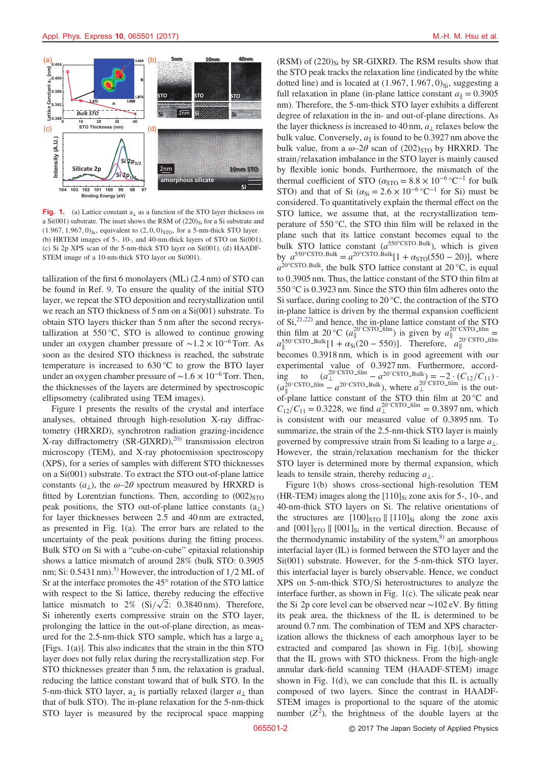

Fig. 1. (a) Lattice constant  $a_{\perp}$  as a function of the STO layer thickness on a  $Si(001)$  substrate. The inset shows the RSM of  $(220)_{Si}$  for a Si substrate and  $(1.967, 1.967, 0)_{Si}$ , equivalent to  $(2, 0, 0)_{STO}$ , for a 5-nm-thick STO layer. (b) HRTEM images of 5-, 10-, and 40-nm-thick layers of STO on Si(001). (c) Si 2p XPS scan of the 5-nm-thick STO layer on Si(001). (d) HAADF-STEM image of a 10-nm-thick STO layer on Si(001).

tallization of the first 6 monolayers (ML) (2.4 nm) of STO can be found in Ref. [9](#page-4-0). To ensure the quality of the initial STO layer, we repeat the STO deposition and recrystallization until we reach an STO thickness of 5 nm on a Si(001) substrate. To obtain STO layers thicker than 5 nm after the second recrystallization at  $550^{\circ}$ C, STO is allowed to continue growing under an oxygen chamber pressure of  $\sim$ 1.2 × 10<sup>-6</sup> Torr. As soon as the desired STO thickness is reached, the substrate temperature is increased to 630 °C to grow the BTO layer under an oxygen chamber pressure of  $\sim$ 1.6 × 10<sup>-6</sup> Torr. Then, the thicknesses of the layers are determined by spectroscopic ellipsometry (calibrated using TEM images).

Figure 1 presents the results of the crystal and interface analyses, obtained through high-resolution X-ray diffractometry (HRXRD), synchrotron radiation grazing-incidence X-ray diffractometry  $(SR\text{-}GIXRD)$ ,<sup>[20\)](#page-4-0)</sup> transmission electron microscopy (TEM), and X-ray photoemission spectroscopy (XPS), for a series of samples with different STO thicknesses on a Si(001) substrate. To extract the STO out-of-plane lattice constants  $(a_1)$ , the  $\omega$ -2 $\theta$  spectrum measured by HRXRD is fitted by Lorentzian functions. Then, according to  $(002)_{\text{STO}}$ peak positions, the STO out-of-plane lattice constants  $(a_1)$ for layer thicknesses between 2.5 and 40 nm are extracted, as presented in Fig. 1(a). The error bars are related to the uncertainty of the peak positions during the fitting process. Bulk STO on Si with a "cube-on-cube" epitaxial relationship shows a lattice mismatch of around 28% (bulk STO: 0.3905 nm; Si: 0.[5](#page-4-0)431 nm).<sup>5)</sup> However, the introduction of  $1/2$  ML of Sr at the interface promotes the 45° rotation of the STO lattice with respect to the Si lattice, thereby reducing the effective with respect to the Si lattice, thereby reducing the effective lattice mismatch to  $2\%$  (Si/ $\sqrt{2}$ : 0.3840 nm). Therefore, Si inherently exerts compressive strain on the STO layer, prolonging the lattice in the out-of-plane direction, as measured for the 2.5-nm-thick STO sample, which has a large  $a_{\perp}$ [Figs. 1(a)]. This also indicates that the strain in the thin STO layer does not fully relax during the recrystallization step. For STO thicknesses greater than 5 nm, the relaxation is gradual, reducing the lattice constant toward that of bulk STO. In the 5-nm-thick STO layer,  $a_{\perp}$  is partially relaxed (larger  $a_{\perp}$  than that of bulk STO). The in-plane relaxation for the 5-nm-thick STO layer is measured by the reciprocal space mapping

 $(RSM)$  of  $(220)_{Si}$  by SR-GIXRD. The RSM results show that the STO peak tracks the relaxation line (indicated by the white dotted line) and is located at  $(1.967, 1.967, 0)_{Si}$ , suggesting a full relaxation in plane (in-plane lattice constant  $a_{\parallel} = 0.3905$ nm). Therefore, the 5-nm-thick STO layer exhibits a different degree of relaxation in the in- and out-of-plane directions. As the layer thickness is increased to 40 nm,  $a_{\perp}$  relaxes below the bulk value. Conversely,  $a_{\parallel}$  is found to be 0.3927 nm above the bulk value, from a  $\omega$ -2 $\theta$  scan of (202)<sub>STO</sub> by HRXRD. The strain/relaxation imbalance in the STO layer is mainly caused by flexible ionic bonds. Furthermore, the mismatch of the thermal coefficient of STO ( $\alpha_{\text{STO}} = 8.8 \times 10^{-6} {}^{\circ}C^{-1}$  for bulk STO) and that of Si  $(\alpha_{Si} = 2.6 \times 10^{-6} \degree \text{C}^{-1}$  for Si) must be considered. To quantitatively explain the thermal effect on the STO lattice, we assume that, at the recrystallization temperature of 550 °C, the STO thin film will be relaxed in the plane such that its lattice constant becomes equal to the bulk STO lattice constant  $(a^{550^{\circ} \text{CSTO-Bulk}})$ , which is given by  $a^{550^{\circ} \text{CSTO-Bulk}} = a^{20^{\circ} \text{CSTO-Bulk}}[1 + \alpha_{\text{STO}}(550 - 20)]$ , where  $a^{20^{\circ}$ CSTO\_Bulk, the bulk STO lattice constant at 20 °C, is equal to 0.3905 nm. Thus, the lattice constant of the STO thin film at 550 °C is 0.3923 nm. Since the STO thin film adheres onto the Si surface, during cooling to 20 °C, the contraction of the STO in-plane lattice is driven by the thermal expansion coefficient of  $Si$ ,<sup>[21,22](#page-4-0))</sup> and hence, the in-plane lattice constant of the STO thin film at 20 °C ( $a_{\parallel}^{20\text{-}CSTO-film}$ ) is given by  $a_{\parallel}^{20\text{-}CSTO-film}$  =  $a_{\parallel}^{550\text{-}CSTO-Bulk}$  [1 +  $\alpha_{\text{Si}}(20-550)$ ]. Therefore,  $a_{\parallel}^{20\text{-}CSTO-film}$ l, becomes 0.3918 nm, which is in good agreement with our experimental value of 0.3927 nm. Furthermore, according to  $(a_{\perp}^{20^{\circ} \text{CSTO}} - a_{\perp}^{20^{\circ} \text{CSTO}} - a_{\perp}^{20^{\circ} \text{CSTO}}) = -2 \cdot (C_{12}/C_{11}) \cdot$  $(a_{\parallel}^{20^{\circ} \text{CSTO-film}} - a^{20^{\circ} \text{CSTO-Bulk}})$ , where  $a_{\perp}^{20^{\circ} \text{CSTO-film}}$  is the outof-plane lattice constant of the STO thin film at  $20^{\circ}$ C and  $C_{12}/C_{11} = 0.3228$ , we find  $a_{\perp}^{20^{\circ} \text{CSTO-film}} = 0.3897$  nm, which is consistent with our measured value of 0.3895 nm. To summarize, the strain of the 2.5-nm-thick STO layer is mainly governed by compressive strain from Si leading to a large  $a_{\perp}$ . However, the strain/relaxation mechanism for the thicker STO layer is determined more by thermal expansion, which leads to tensile strain, thereby reducing  $a_{\perp}$ .

Figure 1(b) shows cross-sectional high-resolution TEM (HR-TEM) images along the  $[110]_{Si}$  zone axis for 5-, 10-, and 40-nm-thick STO layers on Si. The relative orientations of the structures are  $[100]_{STO}$  ||  $[110]_{Si}$  along the zone axis and  $[001]_{\text{STO}}$   $\parallel$   $[001]_{\text{Si}}$  in the vertical direction. Because of the thermodynamic instability of the system, $8$ ) an amorphous interfacial layer (IL) is formed between the STO layer and the Si(001) substrate. However, for the 5-nm-thick STO layer, this interfacial layer is barely observable. Hence, we conduct  $XPS$  on 5-nm-thick  $STO/Si$  heterostructures to analyze the interface further, as shown in Fig. 1(c). The silicate peak near the Si 2p core level can be observed near ∼102 eV. By fitting its peak area, the thickness of the IL is determined to be around 0.7 nm. The combination of TEM and XPS characterization allows the thickness of each amorphous layer to be extracted and compared [as shown in Fig. 1(b)], showing that the IL grows with STO thickness. From the high-angle annular dark-field scanning TEM (HAADF-STEM) image shown in Fig.  $1(d)$ , we can conclude that this IL is actually composed of two layers. Since the contrast in HAADF-STEM images is proportional to the square of the atomic number  $(Z^2)$ , the brightness of the double layers at the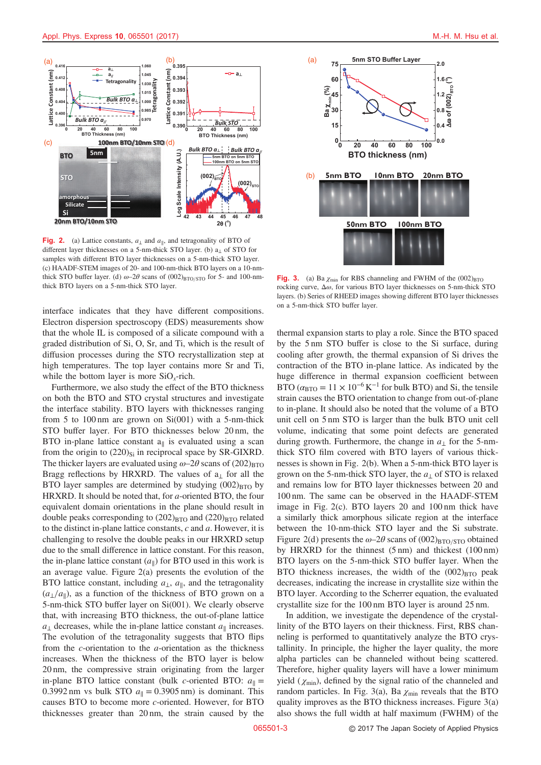<span id="page-3-0"></span>

Fig. 2. (a) Lattice constants,  $a_{\perp}$  and  $a_{\parallel}$ , and tetragonality of BTO of different layer thicknesses on a 5-nm-thick STO layer. (b) a<sup>⊥</sup> of STO for samples with different BTO layer thicknesses on a 5-nm-thick STO layer. (c) HAADF-STEM images of 20- and 100-nm-thick BTO layers on a 10-nmthick STO buffer layer. (d)  $\omega$ -2 $\theta$  scans of (002)<sub>BTO/STO</sub> for 5- and 100-nmthick BTO layers on a 5-nm-thick STO layer.

interface indicates that they have different compositions. Electron dispersion spectroscopy (EDS) measurements show that the whole IL is composed of a silicate compound with a graded distribution of Si, O, Sr, and Ti, which is the result of diffusion processes during the STO recrystallization step at high temperatures. The top layer contains more Sr and Ti, while the bottom layer is more  $SiO_x$ -rich.

Furthermore, we also study the effect of the BTO thickness on both the BTO and STO crystal structures and investigate the interface stability. BTO layers with thicknesses ranging from 5 to 100 nm are grown on  $Si(001)$  with a 5-nm-thick STO buffer layer. For BTO thicknesses below 20 nm, the BTO in-plane lattice constant  $a_{\parallel}$  is evaluated using a scan from the origin to  $(220)_{Si}$  in reciprocal space by SR-GIXRD. The thicker layers are evaluated using  $\omega$ –2 $\theta$  scans of (202)<sub>BTO</sub> Bragg reflections by HRXRD. The values of  $a_1$  for all the BTO layer samples are determined by studying  $(002)_{\text{BTO}}$  by HRXRD. It should be noted that, for a-oriented BTO, the four equivalent domain orientations in the plane should result in double peaks corresponding to  $(202)_{\text{BTO}}$  and  $(220)_{\text{BTO}}$  related to the distinct in-plane lattice constants,  $c$  and  $a$ . However, it is challenging to resolve the double peaks in our HRXRD setup due to the small difference in lattice constant. For this reason, the in-plane lattice constant  $(a_{\parallel})$  for BTO used in this work is an average value. Figure 2(a) presents the evolution of the BTO lattice constant, including  $a_{\perp}$ ,  $a_{\parallel}$ , and the tetragonality  $(a_1/a_0)$ , as a function of the thickness of BTO grown on a 5-nm-thick STO buffer layer on Si(001). We clearly observe that, with increasing BTO thickness, the out-of-plane lattice  $a_{\perp}$  decreases, while the in-plane lattice constant  $a_{\parallel}$  increases. The evolution of the tetragonality suggests that BTO flips from the c-orientation to the a-orientation as the thickness increases. When the thickness of the BTO layer is below 20 nm, the compressive strain originating from the larger in-plane BTO lattice constant (bulk c-oriented BTO:  $a_{\parallel}$  = 0.3992 nm vs bulk STO  $a_{\parallel} = 0.3905$  nm) is dominant. This causes BTO to become more c-oriented. However, for BTO thicknesses greater than 20 nm, the strain caused by the



Fig. 3. (a) Ba  $\chi_{\text{min}}$  for RBS channeling and FWHM of the  $(002)_{\text{BTO}}$ rocking curve, Δω, for various BTO layer thicknesses on 5-nm-thick STO layers. (b) Series of RHEED images showing different BTO layer thicknesses on a 5-nm-thick STO buffer layer.

thermal expansion starts to play a role. Since the BTO spaced by the 5 nm STO buffer is close to the Si surface, during cooling after growth, the thermal expansion of Si drives the contraction of the BTO in-plane lattice. As indicated by the huge difference in thermal expansion coefficient between BTO ( $\alpha_{\text{BTO}} = 11 \times 10^{-6} \text{K}^{-1}$  for bulk BTO) and Si, the tensile strain causes the BTO orientation to change from out-of-plane to in-plane. It should also be noted that the volume of a BTO unit cell on 5 nm STO is larger than the bulk BTO unit cell volume, indicating that some point defects are generated during growth. Furthermore, the change in  $a_{\perp}$  for the 5-nmthick STO film covered with BTO layers of various thicknesses is shown in Fig. 2(b). When a 5-nm-thick BTO layer is grown on the 5-nm-thick STO layer, the  $a_1$  of STO is relaxed and remains low for BTO layer thicknesses between 20 and 100 nm. The same can be observed in the HAADF-STEM image in Fig. 2(c). BTO layers 20 and 100 nm thick have a similarly thick amorphous silicate region at the interface between the 10-nm-thick STO layer and the Si substrate. Figure 2(d) presents the  $\omega$ -2 $\theta$  scans of (002)<sub>BTO/STO</sub> obtained by HRXRD for the thinnest (5 nm) and thickest (100 nm) BTO layers on the 5-nm-thick STO buffer layer. When the BTO thickness increases, the width of the  $(002)_{\text{BTO}}$  peak decreases, indicating the increase in crystallite size within the BTO layer. According to the Scherrer equation, the evaluated crystallite size for the 100 nm BTO layer is around 25 nm.

In addition, we investigate the dependence of the crystallinity of the BTO layers on their thickness. First, RBS channeling is performed to quantitatively analyze the BTO crystallinity. In principle, the higher the layer quality, the more alpha particles can be channeled without being scattered. Therefore, higher quality layers will have a lower minimum yield ( $\chi_{\text{min}}$ ), defined by the signal ratio of the channeled and random particles. In Fig. 3(a), Ba  $\chi_{\text{min}}$  reveals that the BTO quality improves as the BTO thickness increases. Figure 3(a) also shows the full width at half maximum (FWHM) of the